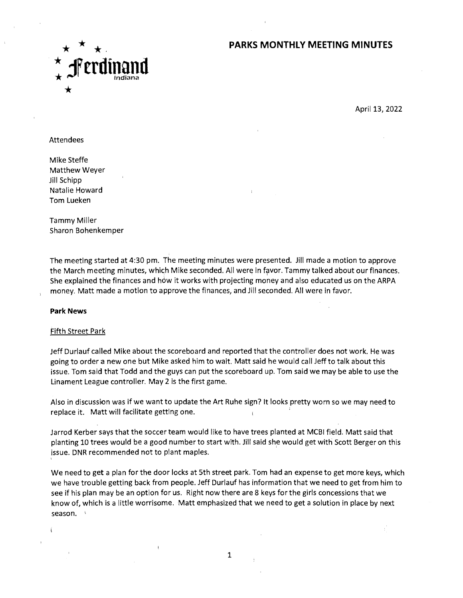## **PARKS MONTHLY MEETING MINUTES**



April 13, 2022

#### Attendees

Mike Steffe Matthew Weyer Jill Schipp Natalie Howard Tom Lueken

Tammy Miller Sharon Bohenkemper

The meeting started at 4:30 pm. The meeting minutes were presented. Jill made a motion to approve the March meeting minutes, which Mike seconded. All were in favor. Tammy talked about our finances. She explained the finances and how it works with projecting money and also educated us on the ARPA money. Matt made a motion to approve the finances, and Jill seconded. All were in favor.

### **Park News**

Ã.

#### Fifth Street Park

Jeff Durlauf called Mike about the scoreboard and reported that the controller does not work. He was going to order a new one but Mike asked him to wait. Matt said he would call Jeff to talk about this issue. Tom said that Todd and the guys can put the scoreboard up. Tom said we may be able to use the Linament League controller. May 2 is the first game.

Also in discussion was if we want to update the Art Ruhe sign? It looks pretty worn so we may need to replace it. Matt will facilitate getting one.

Jarrod Kerber says that the soccer team would like to have trees planted at MCBI field. Matt said that planting 10 trees would be a good number to start with. Jill said she would get with Scott Berger on this issue. DNR recommended not to plant maples.

We need to get a plan for the door locks at 5th street park. Tom had an expense to get more keys, which we have trouble getting back from people. Jeff Durlauf has information that we need to get from him to see if his plan may be an option for us. Right now there are 8 keys for the girls concessions that we know of, which is a little worrisome. Matt emphasized that we need to get a solution in place by next season.

1